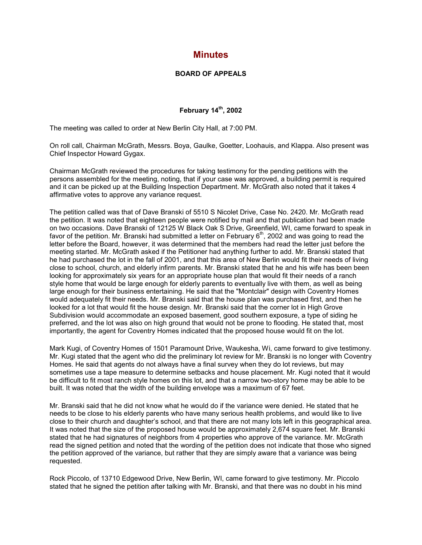## **Minutes**

## **BOARD OF APPEALS**

## **February 14th, 2002**

The meeting was called to order at New Berlin City Hall, at 7:00 PM.

On roll call, Chairman McGrath, Messrs. Boya, Gaulke, Goetter, Loohauis, and Klappa. Also present was Chief Inspector Howard Gygax.

Chairman McGrath reviewed the procedures for taking testimony for the pending petitions with the persons assembled for the meeting, noting, that if your case was approved, a building permit is required and it can be picked up at the Building Inspection Department. Mr. McGrath also noted that it takes 4 affirmative votes to approve any variance request.

The petition called was that of Dave Branski of 5510 S Nicolet Drive, Case No. 2420. Mr. McGrath read the petition. It was noted that eighteen people were notified by mail and that publication had been made on two occasions. Dave Branski of 12125 W Black Oak S Drive, Greenfield, WI, came forward to speak in favor of the petition. Mr. Branski had submitted a letter on February 6<sup>th</sup>, 2002 and was going to read the letter before the Board, however, it was determined that the members had read the letter just before the meeting started. Mr. McGrath asked if the Petitioner had anything further to add. Mr. Branski stated that he had purchased the lot in the fall of 2001, and that this area of New Berlin would fit their needs of living close to school, church, and elderly infirm parents. Mr. Branski stated that he and his wife has been been looking for approximately six years for an appropriate house plan that would fit their needs of a ranch style home that would be large enough for elderly parents to eventually live with them, as well as being large enough for their business entertaining. He said that the "Montclair" design with Coventry Homes would adequately fit their needs. Mr. Branski said that the house plan was purchased first, and then he looked for a lot that would fit the house design. Mr. Branski said that the corner lot in High Grove Subdivision would accommodate an exposed basement, good southern exposure, a type of siding he preferred, and the lot was also on high ground that would not be prone to flooding. He stated that, most importantly, the agent for Coventry Homes indicated that the proposed house would fit on the lot.

Mark Kugi, of Coventry Homes of 1501 Paramount Drive, Waukesha, Wi, came forward to give testimony. Mr. Kugi stated that the agent who did the preliminary lot review for Mr. Branski is no longer with Coventry Homes. He said that agents do not always have a final survey when they do lot reviews, but may sometimes use a tape measure to determine setbacks and house placement. Mr. Kugi noted that it would be difficult to fit most ranch style homes on this lot, and that a narrow two-story home may be able to be built. It was noted that the width of the building envelope was a maximum of 67 feet.

Mr. Branski said that he did not know what he would do if the variance were denied. He stated that he needs to be close to his elderly parents who have many serious health problems, and would like to live close to their church and daughter's school, and that there are not many lots left in this geographical area. It was noted that the size of the proposed house would be approximately 2,674 square feet. Mr. Branski stated that he had signatures of neighbors from 4 properties who approve of the variance. Mr. McGrath read the signed petition and noted that the wording of the petition does not indicate that those who signed the petition approved of the variance, but rather that they are simply aware that a variance was being requested.

Rock Piccolo, of 13710 Edgewood Drive, New Berlin, WI, came forward to give testimony. Mr. Piccolo stated that he signed the petition after talking with Mr. Branski, and that there was no doubt in his mind